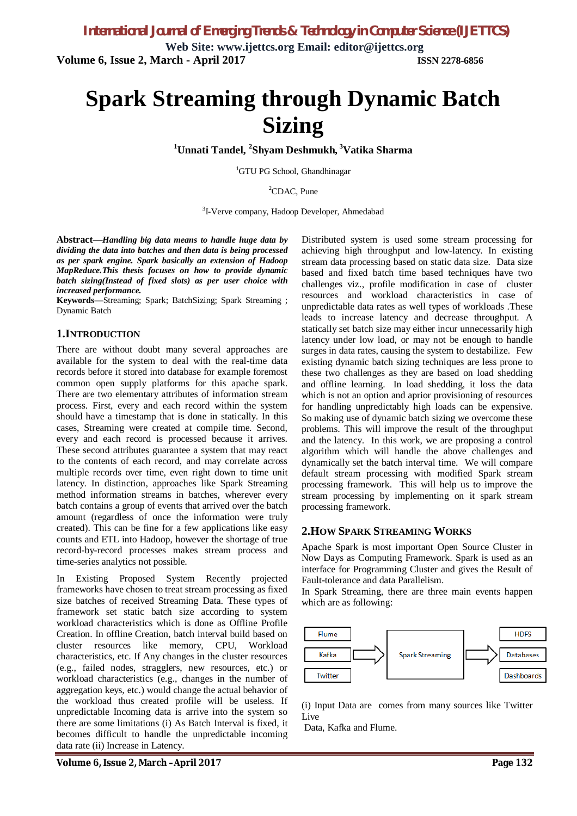**Web Site: www.ijettcs.org Email: editor@ijettcs.org Volume 6, Issue 2, March - April 2017 ISSN 2278-6856**

# **Spark Streaming through Dynamic Batch Sizing**

**<sup>1</sup>Unnati Tandel, 2 Shyam Deshmukh, <sup>3</sup>Vatika Sharma**

<sup>1</sup>GTU PG School, Ghandhinagar

 ${}^{2}$ CDAC, Pune

3 I-Verve company, Hadoop Developer, Ahmedabad

**Abstract—***Handling big data means to handle huge data by dividing the data into batches and then data is being processed as per spark engine. Spark basically an extension of Hadoop MapReduce.This thesis focuses on how to provide dynamic batch sizing(Instead of fixed slots) as per user choice with increased performance.* 

**Keywords—**Streaming; Spark; BatchSizing; Spark Streaming ; Dynamic Batch

## **1.INTRODUCTION**

There are without doubt many several approaches are available for the system to deal with the real-time data records before it stored into database for example foremost common open supply platforms for this apache spark. There are two elementary attributes of information stream process. First, every and each record within the system should have a timestamp that is done in statically. In this cases, Streaming were created at compile time. Second, every and each record is processed because it arrives. These second attributes guarantee a system that may react to the contents of each record, and may correlate across multiple records over time, even right down to time unit latency. In distinction, approaches like Spark Streaming method information streams in batches, wherever every batch contains a group of events that arrived over the batch amount (regardless of once the information were truly created). This can be fine for a few applications like easy counts and ETL into Hadoop, however the shortage of true record-by-record processes makes stream process and time-series analytics not possible.

In Existing Proposed System Recently projected frameworks have chosen to treat stream processing as fixed size batches of received Streaming Data. These types of framework set static batch size according to system workload characteristics which is done as Offline Profile Creation. In offline Creation, batch interval build based on cluster resources like memory, CPU, Workload characteristics, etc. If Any changes in the cluster resources (e.g., failed nodes, stragglers, new resources, etc.) or workload characteristics (e.g., changes in the number of aggregation keys, etc.) would change the actual behavior of the workload thus created profile will be useless. If unpredictable Incoming data is arrive into the system so there are some limitations (i) As Batch Interval is fixed, it becomes difficult to handle the unpredictable incoming data rate (ii) Increase in Latency.

Distributed system is used some stream processing for achieving high throughput and low-latency. In existing stream data processing based on static data size. Data size based and fixed batch time based techniques have two challenges viz., profile modification in case of cluster resources and workload characteristics in case of unpredictable data rates as well types of workloads .These leads to increase latency and decrease throughput. A statically set batch size may either incur unnecessarily high latency under low load, or may not be enough to handle surges in data rates, causing the system to destabilize. Few existing dynamic batch sizing techniques are less prone to these two challenges as they are based on load shedding and offline learning. In load shedding, it loss the data which is not an option and aprior provisioning of resources for handling unpredictably high loads can be expensive. So making use of dynamic batch sizing we overcome these problems. This will improve the result of the throughput and the latency. In this work, we are proposing a control algorithm which will handle the above challenges and dynamically set the batch interval time. We will compare default stream processing with modified Spark stream processing framework. This will help us to improve the stream processing by implementing on it spark stream processing framework.

## **2.HOW SPARK STREAMING WORKS**

Apache Spark is most important Open Source Cluster in Now Days as Computing Framework. Spark is used as an interface for Programming Cluster and gives the Result of Fault-tolerance and data Parallelism.

In Spark Streaming, there are three main events happen which are as following:



(i) Input Data are comes from many sources like Twitter Live.

Data, Kafka and Flume.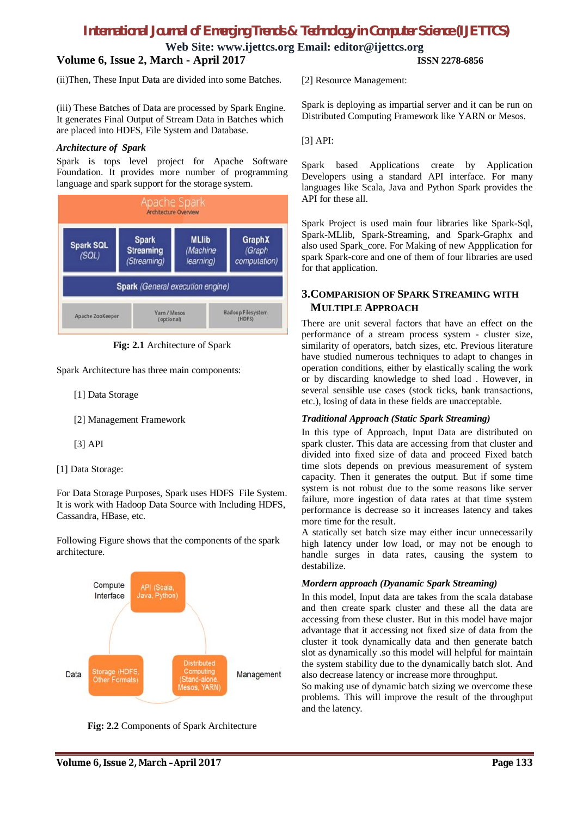# *International Journal of Emerging Trends & Technology in Computer Science (IJETTCS)*

**Web Site: www.ijettcs.org Email: editor@ijettcs.org**

# **Volume 6, Issue 2, March - April 2017 ISSN 2278-6856**

(ii)Then, These Input Data are divided into some Batches.

(iii) These Batches of Data are processed by Spark Engine. It generates Final Output of Stream Data in Batches which are placed into HDFS, File System and Database.

## *Architecture of Spark*

Spark is tops level project for Apache Software Foundation. It provides more number of programming language and spark support for the storage system.





Spark Architecture has three main components:

- [1] Data Storage
- [2] Management Framework
- [3] API
- [1] Data Storage:

For Data Storage Purposes, Spark uses HDFS File System. It is work with Hadoop Data Source with Including HDFS, Cassandra, HBase, etc.

Following Figure shows that the components of the spark architecture.



**Fig: 2.2** Components of Spark Architecture

[2] Resource Management:

Spark is deploying as impartial server and it can be run on Distributed Computing Framework like YARN or Mesos.

[3] API:

Spark based Applications create by Application Developers using a standard API interface. For many languages like Scala, Java and Python Spark provides the API for these all.

Spark Project is used main four libraries like Spark-Sql, Spark-MLlib, Spark-Streaming, and Spark-Graphx and also used Spark\_core. For Making of new Appplication for spark Spark-core and one of them of four libraries are used for that application.

# **3.COMPARISION OF SPARK STREAMING WITH MULTIPLE APPROACH**

There are unit several factors that have an effect on the performance of a stream process system - cluster size, similarity of operators, batch sizes, etc. Previous literature have studied numerous techniques to adapt to changes in operation conditions, either by elastically scaling the work or by discarding knowledge to shed load . However, in several sensible use cases (stock ticks, bank transactions, etc.), losing of data in these fields are unacceptable.

## *Traditional Approach (Static Spark Streaming)*

In this type of Approach, Input Data are distributed on spark cluster. This data are accessing from that cluster and divided into fixed size of data and proceed Fixed batch time slots depends on previous measurement of system capacity. Then it generates the output. But if some time system is not robust due to the some reasons like server failure, more ingestion of data rates at that time system performance is decrease so it increases latency and takes more time for the result.

A statically set batch size may either incur unnecessarily high latency under low load, or may not be enough to handle surges in data rates, causing the system to destabilize.

## *Mordern approach (Dyanamic Spark Streaming)*

In this model, Input data are takes from the scala database and then create spark cluster and these all the data are accessing from these cluster. But in this model have major advantage that it accessing not fixed size of data from the cluster it took dynamically data and then generate batch slot as dynamically .so this model will helpful for maintain the system stability due to the dynamically batch slot. And also decrease latency or increase more throughput.

So making use of dynamic batch sizing we overcome these problems. This will improve the result of the throughput and the latency.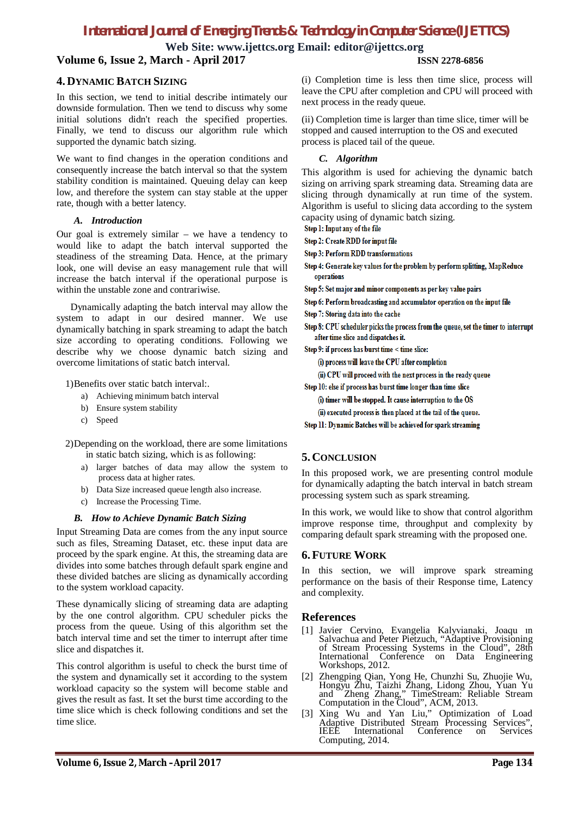# *International Journal of Emerging Trends & Technology in Computer Science (IJETTCS)*

**Web Site: www.ijettcs.org Email: editor@ijettcs.org Volume 6, Issue 2, March - April 2017 ISSN 2278-6856**

## **4. DYNAMIC BATCH SIZING**

In this section, we tend to initial describe intimately our downside formulation. Then we tend to discuss why some initial solutions didn't reach the specified properties. Finally, we tend to discuss our algorithm rule which supported the dynamic batch sizing.

We want to find changes in the operation conditions and consequently increase the batch interval so that the system stability condition is maintained. Queuing delay can keep low, and therefore the system can stay stable at the upper rate, though with a better latency.

### *A. Introduction*

Our goal is extremely similar – we have a tendency to would like to adapt the batch interval supported the steadiness of the streaming Data. Hence, at the primary look, one will devise an easy management rule that will increase the batch interval if the operational purpose is within the unstable zone and contrariwise.

Dynamically adapting the batch interval may allow the system to adapt in our desired manner. We use dynamically batching in spark streaming to adapt the batch size according to operating conditions. Following we describe why we choose dynamic batch sizing and overcome limitations of static batch interval.

1)Benefits over static batch interval:.

- a) Achieving minimum batch interval
- b) Ensure system stability
- c) Speed

2)Depending on the workload, there are some limitations in static batch sizing, which is as following:

- a) larger batches of data may allow the system to process data at higher rates.
- b) Data Size increased queue length also increase.
- c) Increase the Processing Time.

### *B. How to Achieve Dynamic Batch Sizing*

Input Streaming Data are comes from the any input source such as files, Streaming Dataset, etc. these input data are proceed by the spark engine. At this, the streaming data are divides into some batches through default spark engine and these divided batches are slicing as dynamically according to the system workload capacity.

These dynamically slicing of streaming data are adapting by the one control algorithm. CPU scheduler picks the process from the queue. Using of this algorithm set the batch interval time and set the timer to interrupt after time slice and dispatches it.

This control algorithm is useful to check the burst time of the system and dynamically set it according to the system workload capacity so the system will become stable and gives the result as fast. It set the burst time according to the time slice which is check following conditions and set the time slice.

(i) Completion time is less then time slice, process will leave the CPU after completion and CPU will proceed with next process in the ready queue.

(ii) Completion time is larger than time slice, timer will be stopped and caused interruption to the OS and executed process is placed tail of the queue.

### *C. Algorithm*

This algorithm is used for achieving the dynamic batch sizing on arriving spark streaming data. Streaming data are slicing through dynamically at run time of the system. Algorithm is useful to slicing data according to the system capacity using of dynamic batch sizing.

Step 1: Input any of the file

**Step 2: Create RDD for input file** 

- **Step 3: Perform RDD transformations**
- Step 4: Generate key values for the problem by perform splitting, MapReduce operations
- Step 5: Set major and minor components as per key value pairs
- Step 6: Perform broadcasting and accumulator operation on the input file
- Step 7: Storing data into the cache

Step 8: CPU scheduler picks the process from the queue, set the timer to interrupt after time slice and dispatches it.

Step 9: if process has burst time < time slice:

(i) process will leave the CPU after completion

(ii) CPU will proceed with the next process in the ready queue

Step 10: else if process has burst time longer than time slice

(i) timer will be stopped. It cause interruption to the OS

(ii) executed process is then placed at the tail of the queue.

Step 11: Dynamic Batches will be achieved for spark streaming

# **5. CONCLUSION**

In this proposed work, we are presenting control module for dynamically adapting the batch interval in batch stream processing system such as spark streaming.

In this work, we would like to show that control algorithm improve response time, throughput and complexity by comparing default spark streaming with the proposed one.

## **6.FUTURE WORK**

In this section, we will improve spark streaming performance on the basis of their Response time, Latency and complexity.

### **References**

- [1] Javier Cervino, Evangelia Kalyvianaki, Joaqu ın Salvachua and Peter Pietzuch, "Adaptive Provisioning of Stream Processing Systems in the Cloud", 28th International Conference on Data Engineering Workshops, 2012.
- [2] Zhengping Qian, Yong He, Chunzhi Su, Zhuojie Wu, Hongyu Zhu, Taizhi Zhang, Lidong Zhou, Yuan Yu and Zheng Zhang," TimeStream: Reliable Stream Computation in the Cloud", ACM, 2013.
- [3] Xing Wu and Yan Liu," Optimization of Load Adaptive Distributed Stream Processing Services", IEEE International Conference on Services Computing, 2014.